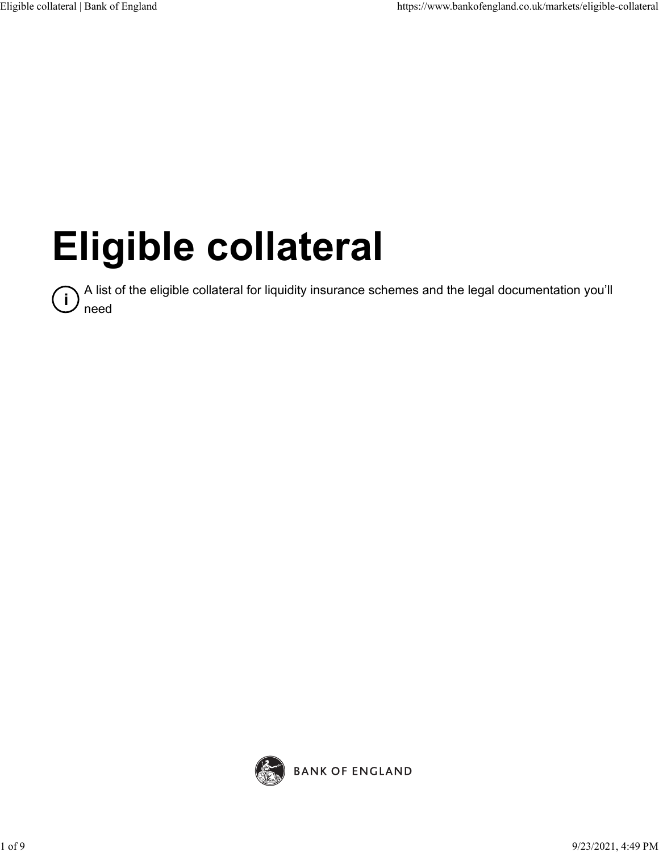# **Eligible collateral**

<sup>1</sup> A list of the eligible collateral for liquidity insurance schemes and the legal documentation you'll<br>abord need

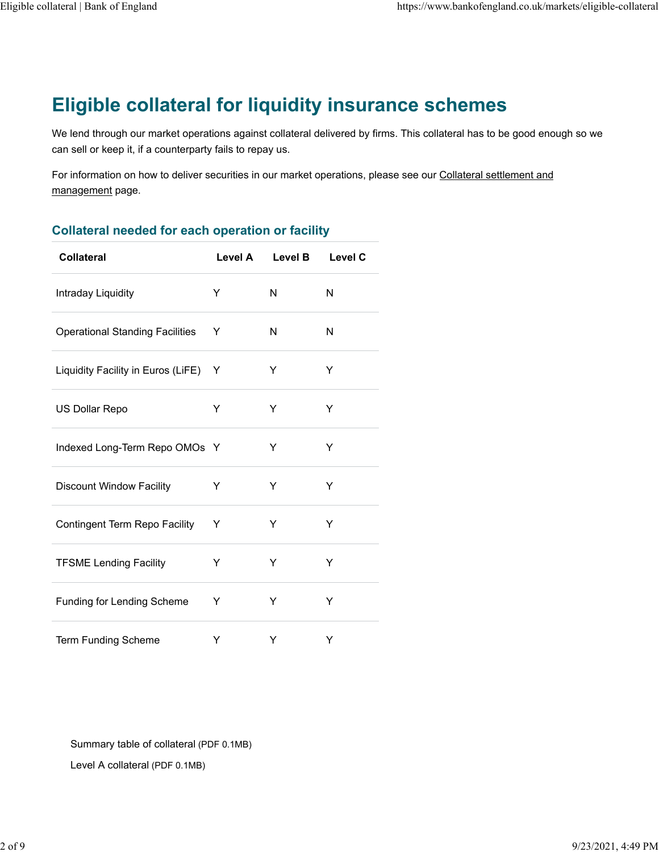# **Eligible collateral for liquidity insurance schemes**

We lend through our market operations against collateral delivered by firms. This collateral has to be good enough so we can sell or keep it, if a counterparty fails to repay us.

For information on how to deliver securities in our market operations, please see our [Collateral settlement and](https://www.bankofengland.co.uk/markets/collateral-and-settlement) [management](https://www.bankofengland.co.uk/markets/collateral-and-settlement) page.

| <b>Collateral</b>                      | Level A | <b>Level B</b> | <b>Level C</b> |
|----------------------------------------|---------|----------------|----------------|
| Intraday Liquidity                     | Y       | N              | N              |
| <b>Operational Standing Facilities</b> | Y       | N              | N              |
| Liquidity Facility in Euros (LiFE)     | Y       | Y              | Y              |
| US Dollar Repo                         | Υ       | Υ              | Υ              |
| Indexed Long-Term Repo OMOs Y          |         | Y              | Υ              |
| <b>Discount Window Facility</b>        | Y       | Y              | Y              |
| Contingent Term Repo Facility          | Y       | Y              | Y              |
| <b>TFSME Lending Facility</b>          | Y       | Y              | Y              |
| <b>Funding for Lending Scheme</b>      | Y       | Y              | Υ              |
| <b>Term Funding Scheme</b>             | Υ       | Υ              | Y              |

[Summary table of collateral \(PDF 0.1MB\)](https://www.bankofengland.co.uk/-/media/boe/files/markets/eligible-collateral/summary-table-of-collateral.pdf)

[Level A collateral \(PDF 0.1MB\)](https://www.bankofengland.co.uk/-/media/boe/files/markets/sterling-monetary-framework/level-a-collateral.pdf)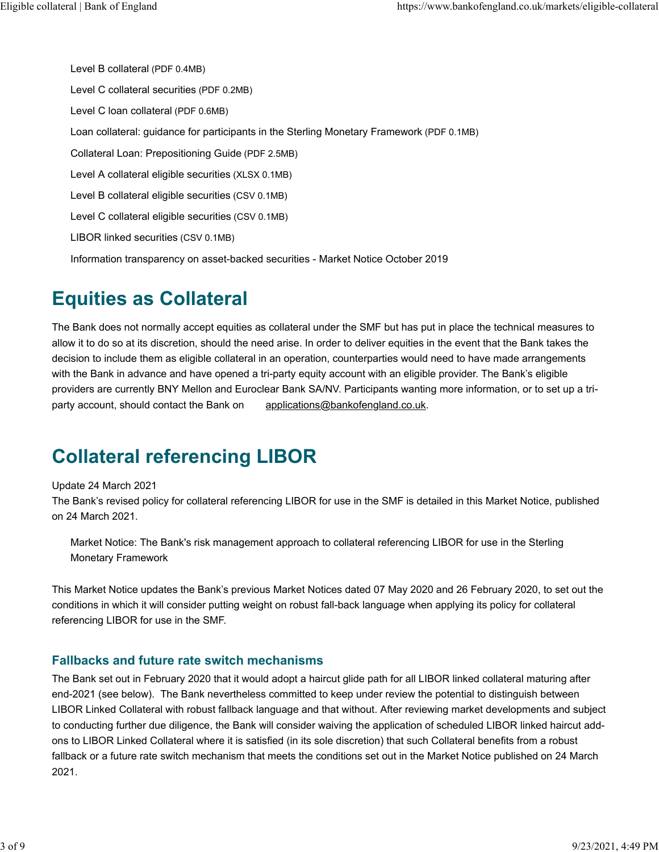[Level B collateral \(PDF 0.4MB\)](https://www.bankofengland.co.uk/-/media/boe/files/markets/sterling-monetary-framework/level-b-collateral.pdf) [Level C collateral securities \(PDF 0.2MB\)](https://www.bankofengland.co.uk/-/media/boe/files/markets/sterling-monetary-framework/level-c-collateral-securities.pdf) [Level C loan collateral \(PDF 0.6MB\)](https://www.bankofengland.co.uk/-/media/boe/files/markets/sterling-monetary-framework/level-c-loan-collateral.pdf) [Loan collateral: guidance for participants in the Sterling Monetary Framework \(PDF 0.1MB\)](https://www.bankofengland.co.uk/-/media/boe/files/markets/sterling-monetary-framework/loan-collateral-guidance-for-participants.pdf) [Collateral Loan: Prepositioning Guide \(PDF 2.5MB\)](https://www.bankofengland.co.uk/-/media/boe/files/markets/eligible-collateral/loan-prepositioning-guide.pdf) [Level A collateral eligible securities \(XLSX 0.1MB\)](https://www.bankofengland.co.uk/-/media/boe/files/markets/eligible-collateral/eligible-securities.xlsx) [Level B collateral eligible securities \(CSV 0.1MB\)](https://www.bankofengland.co.uk/-/media/boe/files/markets/eligible-collateral/eligible-level-b-collateral.csv) [Level C collateral eligible securities \(CSV 0.1MB\)](https://www.bankofengland.co.uk/-/media/boe/files/markets/eligible-collateral/eligible-level-c-collateral.csv) [LIBOR linked securities \(CSV 0.1MB\)](https://www.bankofengland.co.uk/-/media/boe/files/markets/eligible-collateral/libor-linked-securities.csv) [Information transparency on asset-backed securities - Market Notice October 2019](https://www.bankofengland.co.uk/markets/market-notices/2019/information-transparency-on-asset-backed-securities-market-notice-october-2019)

# **Equities as Collateral**

The Bank does not normally accept equities as collateral under the SMF but has put in place the technical measures to allow it to do so at its discretion, should the need arise. In order to deliver equities in the event that the Bank takes the decision to include them as eligible collateral in an operation, counterparties would need to have made arrangements with the Bank in advance and have opened a tri-party equity account with an eligible provider. The Bank's eligible providers are currently BNY Mellon and Euroclear Bank SA/NV. Participants wanting more information, or to set up a triparty account, should contact the Bank on [applications@bankofengland.co.uk.](mailto:applications@bankofengland.co.uk)

# **Collateral referencing LIBOR**

#### Update 24 March 2021

The Bank's revised policy for collateral referencing LIBOR for use in the SMF is detailed in this Market Notice, published on 24 March 2021.

[Market Notice: The Bank's risk management approach to collateral referencing LIBOR for use in the Sterling](https://www.bankofengland.co.uk/markets/market-notices/2021/march/risk-management-approach-to-collateral-referencing-libor-march-2021) [Monetary Framework](https://www.bankofengland.co.uk/markets/market-notices/2021/march/risk-management-approach-to-collateral-referencing-libor-march-2021)

This Market Notice updates the Bank's previous Market Notices dated 07 May 2020 and 26 February 2020, to set out the conditions in which it will consider putting weight on robust fall-back language when applying its policy for collateral referencing LIBOR for use in the SMF.

### **Fallbacks and future rate switch mechanisms**

The Bank set out in February 2020 that it would adopt a haircut glide path for all LIBOR linked collateral maturing after end-2021 (see below). The Bank nevertheless committed to keep under review the potential to distinguish between LIBOR Linked Collateral with robust fallback language and that without. After reviewing market developments and subject to conducting further due diligence, the Bank will consider waiving the application of scheduled LIBOR linked haircut addons to LIBOR Linked Collateral where it is satisfied (in its sole discretion) that such Collateral benefits from a robust fallback or a future rate switch mechanism that meets the conditions set out in the Market Notice published on 24 March 2021.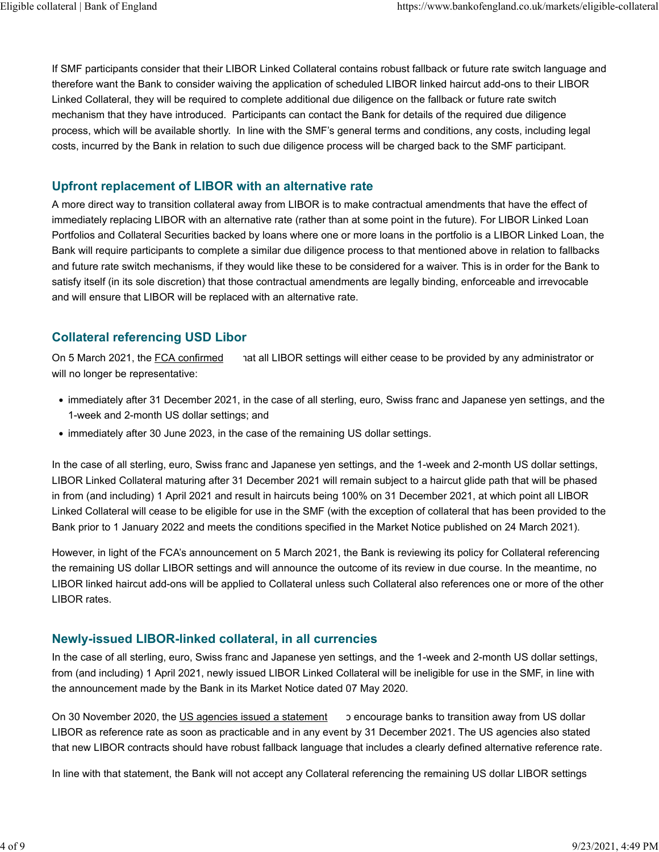If SMF participants consider that their LIBOR Linked Collateral contains robust fallback or future rate switch language and therefore want the Bank to consider waiving the application of scheduled LIBOR linked haircut add-ons to their LIBOR Linked Collateral, they will be required to complete additional due diligence on the fallback or future rate switch mechanism that they have introduced. Participants can contact the Bank for details of the required due diligence process, which will be available shortly. In line with the SMF's general terms and conditions, any costs, including legal costs, incurred by the Bank in relation to such due diligence process will be charged back to the SMF participant.

### **Upfront replacement of LIBOR with an alternative rate**

A more direct way to transition collateral away from LIBOR is to make contractual amendments that have the effect of immediately replacing LIBOR with an alternative rate (rather than at some point in the future). For LIBOR Linked Loan Portfolios and Collateral Securities backed by loans where one or more loans in the portfolio is a LIBOR Linked Loan, the Bank will require participants to complete a similar due diligence process to that mentioned above in relation to fallbacks and future rate switch mechanisms, if they would like these to be considered for a waiver. This is in order for the Bank to satisfy itself (in its sole discretion) that those contractual amendments are legally binding, enforceable and irrevocable and will ensure that LIBOR will be replaced with an alternative rate.

### **Collateral referencing USD Libor**

On 5 March 2021, the [FCA confirmed](https://www.fca.org.uk/publication/documents/future-cessation-loss-representativeness-libor-benchmarks.pdf) hat all LIBOR settings will either cease to be provided by any administrator or will no longer be representative:

- immediately after 31 December 2021, in the case of all sterling, euro, Swiss franc and Japanese yen settings, and the 1-week and 2-month US dollar settings; and
- immediately after 30 June 2023, in the case of the remaining US dollar settings.

In the case of all sterling, euro, Swiss franc and Japanese yen settings, and the 1-week and 2-month US dollar settings, LIBOR Linked Collateral maturing after 31 December 2021 will remain subject to a haircut glide path that will be phased in from (and including) 1 April 2021 and result in haircuts being 100% on 31 December 2021, at which point all LIBOR Linked Collateral will cease to be eligible for use in the SMF (with the exception of collateral that has been provided to the Bank prior to 1 January 2022 and meets the conditions specified in the Market Notice published on 24 March 2021).

However, in light of the FCA's announcement on 5 March 2021, the Bank is reviewing its policy for Collateral referencing the remaining US dollar LIBOR settings and will announce the outcome of its review in due course. In the meantime, no LIBOR linked haircut add-ons will be applied to Collateral unless such Collateral also references one or more of the other LIBOR rates.

### **Newly-issued LIBOR-linked collateral, in all currencies**

In the case of all sterling, euro, Swiss franc and Japanese yen settings, and the 1-week and 2-month US dollar settings, from (and including) 1 April 2021, newly issued LIBOR Linked Collateral will be ineligible for use in the SMF, in line with the announcement made by the Bank in its Market Notice dated 07 May 2020.

On 30 November 2020, the [US agencies issued a statement](https://www.federalreserve.gov/supervisionreg/srletters/SR2027.htm) o encourage banks to transition away from US dollar LIBOR as reference rate as soon as practicable and in any event by 31 December 2021. The US agencies also stated that new LIBOR contracts should have robust fallback language that includes a clearly defined alternative reference rate.

In line with that statement, the Bank will not accept any Collateral referencing the remaining US dollar LIBOR settings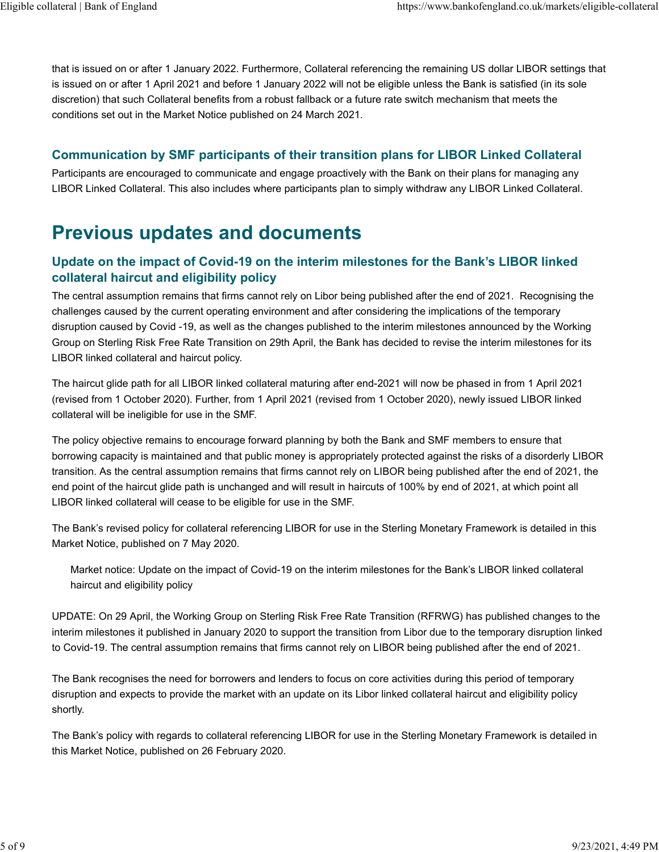that is issued on or after 1 January 2022. Furthermore, Collateral referencing the remaining US dollar LIBOR settings that is issued on or after 1 April 2021 and before 1 January 2022 will not be eligible unless the Bank is satisfied (in its sole discretion) that such Collateral benefits from a robust fallback or a future rate switch mechanism that meets the conditions set out in the Market Notice published on 24 March 2021.

### **Communication by SMF participants of their transition plans for LIBOR Linked Collateral**

Participants are encouraged to communicate and engage proactively with the Bank on their plans for managing any LIBOR Linked Collateral. This also includes where participants plan to simply withdraw any LIBOR Linked Collateral.

## **Previous updates and documents**

### **Update on the impact of Covid-19 on the interim milestones for the Bank's LIBOR linked collateral haircut and eligibility policy**

The central assumption remains that firms cannot rely on Libor being published after the end of 2021. Recognising the challenges caused by the current operating environment and after considering the implications of the temporary disruption caused by Covid -19, as well as the changes published to the interim milestones announced by the Working Group on Sterling Risk Free Rate Transition on 29th April, the Bank has decided to revise the interim milestones for its LIBOR linked collateral and haircut policy.

The haircut glide path for all LIBOR linked collateral maturing after end-2021 will now be phased in from 1 April 2021 (revised from 1 October 2020). Further, from 1 April 2021 (revised from 1 October 2020), newly issued LIBOR linked collateral will be ineligible for use in the SMF.

The policy objective remains to encourage forward planning by both the Bank and SMF members to ensure that borrowing capacity is maintained and that public money is appropriately protected against the risks of a disorderly LIBOR transition. As the central assumption remains that firms cannot rely on LIBOR being published after the end of 2021, the end point of the haircut glide path is unchanged and will result in haircuts of 100% by end of 2021, at which point all LIBOR linked collateral will cease to be eligible for use in the SMF.

The Bank's revised policy for collateral referencing LIBOR for use in the Sterling Monetary Framework is detailed in this Market Notice, published on 7 May 2020.

[Market notice: Update on the impact of Covid-19 on the interim milestones for the Bank's LIBOR linked collateral](https://www.bankofengland.co.uk/markets/market-notices/2020/risk-management-approach-to-collateral-referencing-libor-may-2020) [haircut and eligibility policy](https://www.bankofengland.co.uk/markets/market-notices/2020/risk-management-approach-to-collateral-referencing-libor-may-2020)

UPDATE: On 29 April, the Working Group on Sterling Risk Free Rate Transition (RFRWG) has published changes to the interim milestones it published in January 2020 to support the transition from Libor due to the temporary disruption linked to Covid-19. The central assumption remains that firms cannot rely on LIBOR being published after the end of 2021.

The Bank recognises the need for borrowers and lenders to focus on core activities during this period of temporary disruption and expects to provide the market with an update on its Libor linked collateral haircut and eligibility policy shortly.

The Bank's policy with regards to collateral referencing LIBOR for use in the Sterling Monetary Framework is detailed in this Market Notice, published on 26 February 2020.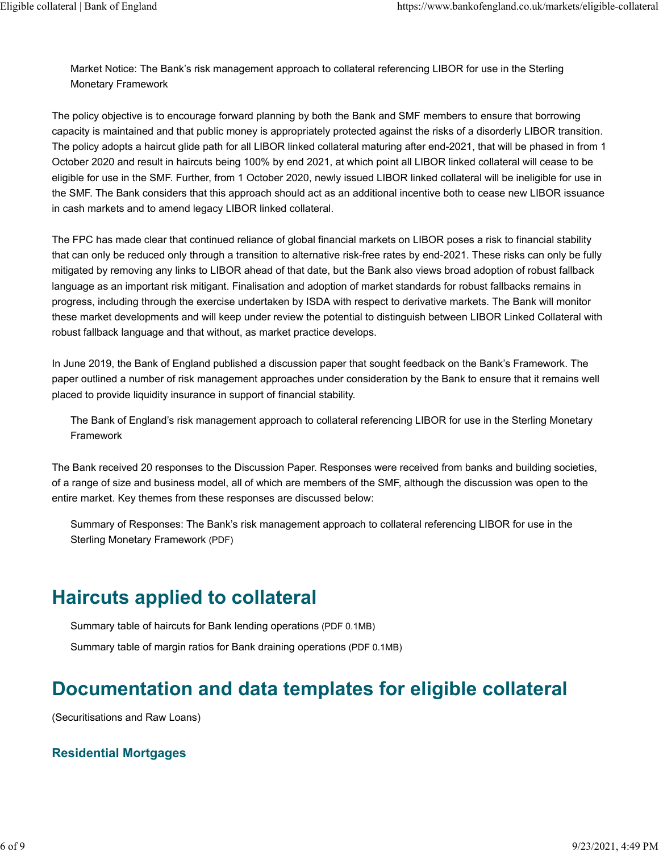[Market Notice: The Bank's risk management approach to collateral referencing LIBOR for use in the Sterling](https://www.bankofengland.co.uk/markets/market-notices/2020/risk-management-approach-to-collateral-referencing-libor-26-february-2020) [Monetary Framework](https://www.bankofengland.co.uk/markets/market-notices/2020/risk-management-approach-to-collateral-referencing-libor-26-february-2020)

The policy objective is to encourage forward planning by both the Bank and SMF members to ensure that borrowing capacity is maintained and that public money is appropriately protected against the risks of a disorderly LIBOR transition. The policy adopts a haircut glide path for all LIBOR linked collateral maturing after end-2021, that will be phased in from 1 October 2020 and result in haircuts being 100% by end 2021, at which point all LIBOR linked collateral will cease to be eligible for use in the SMF. Further, from 1 October 2020, newly issued LIBOR linked collateral will be ineligible for use in the SMF. The Bank considers that this approach should act as an additional incentive both to cease new LIBOR issuance in cash markets and to amend legacy LIBOR linked collateral.

The FPC has made clear that continued reliance of global financial markets on LIBOR poses a risk to financial stability that can only be reduced only through a transition to alternative risk-free rates by end-2021. These risks can only be fully mitigated by removing any links to LIBOR ahead of that date, but the Bank also views broad adoption of robust fallback language as an important risk mitigant. Finalisation and adoption of market standards for robust fallbacks remains in progress, including through the exercise undertaken by ISDA with respect to derivative markets. The Bank will monitor these market developments and will keep under review the potential to distinguish between LIBOR Linked Collateral with robust fallback language and that without, as market practice develops.

In June 2019, the Bank of England published a discussion paper that sought feedback on the Bank's Framework. The paper outlined a number of risk management approaches under consideration by the Bank to ensure that it remains well placed to provide liquidity insurance in support of financial stability.

[The Bank of England's risk management approach to collateral referencing LIBOR for use in the Sterling Monetary](https://www.bankofengland.co.uk/paper/2019/the-boes-risk-management-approach-to-collateral-referencing-libor-for-use-in-the-smf) [Framework](https://www.bankofengland.co.uk/paper/2019/the-boes-risk-management-approach-to-collateral-referencing-libor-for-use-in-the-smf)

The Bank received 20 responses to the Discussion Paper. Responses were received from banks and building societies, of a range of size and business model, all of which are members of the SMF, although the discussion was open to the entire market. Key themes from these responses are discussed below:

[Summary of Responses: The Bank's risk management approach to collateral referencing LIBOR for use in the](https://www.bankofengland.co.uk/-/media/boe/files/markets/eligible-collateral/collateral-referencing-libor-summary-of-responses.pdf?la=en&hash=5A076DEF5253B5ED6A92540F20382FA336C5EF8D) [Sterling Monetary Framework \(PDF\)](https://www.bankofengland.co.uk/-/media/boe/files/markets/eligible-collateral/collateral-referencing-libor-summary-of-responses.pdf?la=en&hash=5A076DEF5253B5ED6A92540F20382FA336C5EF8D)

### **Haircuts applied to collateral**

[Summary table of haircuts for Bank lending operations \(PDF 0.1MB\)](https://www.bankofengland.co.uk/-/media/boe/files/markets/eligible-collateral/summary-tables-of-haircuts-for-bank-lending-operations.pdf)

[Summary table of margin ratios for Bank draining operations \(PDF 0.1MB\)](https://www.bankofengland.co.uk/-/media/boe/files/markets/eligible-collateral/summary-table-of-margin-ratios-for-bank-draining-operations.pdf)

# **Documentation and data templates for eligible collateral**

(Securitisations and Raw Loans)

### **Residential Mortgages**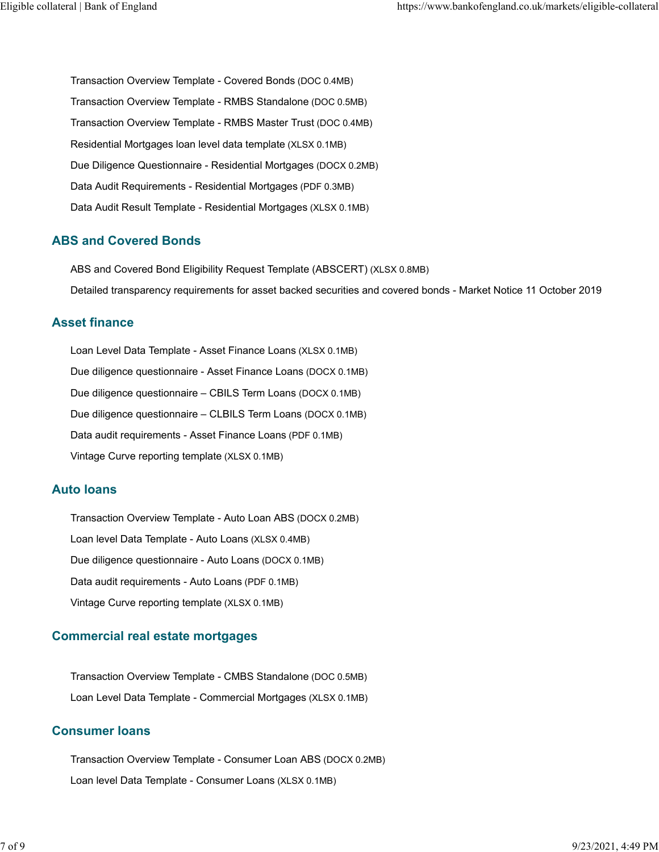[Transaction Overview Template - Covered Bonds \(DOC 0.4MB\)](https://www.bankofengland.co.uk/-/media/boe/files/markets/eligible-collateral/residential-mortgages/transaction-overview-template-covered-bonds.doc) [Transaction Overview Template - RMBS Standalone \(DOC 0.5MB\)](https://www.bankofengland.co.uk/-/media/boe/files/markets/eligible-collateral/residential-mortgages/transaction-overview-template-rmbs-standalone.doc) [Transaction Overview Template - RMBS Master Trust \(DOC 0.4MB\)](https://www.bankofengland.co.uk/-/media/boe/files/markets/eligible-collateral/residential-mortgages/transaction-overview-template-rmbs-master-trust.doc) [Residential Mortgages loan level data template \(XLSX 0.1MB\)](https://www.bankofengland.co.uk/-/media/boe/files/markets/eligible-collateral/residential-mortgages/residential-mortgages-loan-level-data-template.xlsx) [Due Diligence Questionnaire - Residential Mortgages \(DOCX 0.2MB\)](https://www.bankofengland.co.uk/-/media/boe/files/markets/eligible-collateral/residential-mortgages/due-dilligence-questionnaire.docx) [Data Audit Requirements - Residential Mortgages \(PDF 0.3MB\)](https://www.bankofengland.co.uk/-/media/boe/files/markets/eligible-collateral/residential-mortgages/data-audit-requirements-residential-mortgages.pdf) [Data Audit Result Template - Residential Mortgages \(XLSX 0.1MB\)](https://www.bankofengland.co.uk/-/media/boe/files/markets/eligible-collateral/residential-mortgages/data-audit-results-template-residential-mortgages.xlsx)

### **ABS and Covered Bonds**

[ABS and Covered Bond Eligibility Request Template \(ABSCERT\) \(XLSX 0.8MB\)](https://www.bankofengland.co.uk/-/media/boe/files/markets/sterling-monetary-framework/abs-bond-eligibility-request-template.xlsx) [Detailed transparency requirements for asset backed securities and covered bonds - Market Notice 11 October 2019](https://www.bankofengland.co.uk/markets/market-notices/2019/detailed-transparency-requirements-for-abs-and-covered-bonds-october-2019)

#### **Asset finance**

[Loan Level Data Template - Asset Finance Loans \(XLSX 0.1MB\)](https://www.bankofengland.co.uk/-/media/boe/files/markets/eligible-collateral/asset-finance/loan-level-data-template-asset-finance.xlsx) [Due diligence questionnaire - Asset Finance Loans \(DOCX 0.1MB\)](https://www.bankofengland.co.uk/-/media/boe/files/markets/eligible-collateral/asset-finance/due-diligence-questionnaire-asset-finance-and-sme-loans.docx) [Due diligence questionnaire – CBILS Term Loans \(DOCX 0.1MB\)](https://www.bankofengland.co.uk/-/media/boe/files/markets/eligible-collateral/asset-finance/cbils-asset-finance-ddq.docx) [Due diligence questionnaire – CLBILS Term Loans \(DOCX 0.1MB\)](https://www.bankofengland.co.uk/-/media/boe/files/markets/eligible-collateral/asset-finance/clbils-asset-finance-ddq.docx) [Data audit requirements - Asset Finance Loans \(PDF 0.1MB\)](https://www.bankofengland.co.uk/-/media/boe/files/markets/eligible-collateral/asset-finance/data-audit-requirements-asset-finance-loans.pdf) [Vintage Curve reporting template \(XLSX 0.1MB\)](https://www.bankofengland.co.uk/-/media/boe/files/markets/eligible-collateral/vintage-curve-reporting-template.xlsx)

#### **Auto loans**

[Transaction Overview Template - Auto Loan ABS \(DOCX 0.2MB\)](https://www.bankofengland.co.uk/-/media/boe/files/markets/eligible-collateral/auto-loans/transaction-overview-template-auto-loans.docx) [Loan level Data Template - Auto Loans \(XLSX 0.4MB\)](https://www.bankofengland.co.uk/-/media/boe/files/markets/eligible-collateral/auto-loans/loan-level-data-template-auto-loans.xlsx) [Due diligence questionnaire - Auto Loans \(DOCX 0.1MB\)](https://www.bankofengland.co.uk/-/media/boe/files/markets/eligible-collateral/auto-loans/due-diligence-questionnaire-auto-loans-and-consumer-loans.docx) [Data audit requirements - Auto Loans \(PDF 0.1MB\)](https://www.bankofengland.co.uk/-/media/boe/files/markets/eligible-collateral/auto-loans/data-audit-requirements-auto-loans.pdf) [Vintage Curve reporting template \(XLSX 0.1MB\)](https://www.bankofengland.co.uk/-/media/boe/files/markets/eligible-collateral/vintage-curve-reporting-template.xlsx)

### **Commercial real estate mortgages**

[Transaction Overview Template - CMBS Standalone \(DOC 0.5MB\)](https://www.bankofengland.co.uk/-/media/boe/files/markets/eligible-collateral/transaction-overview-template-cmbs-standalone.doc) [Loan Level Data Template - Commercial Mortgages \(XLSX 0.1MB\)](https://www.bankofengland.co.uk/-/media/boe/files/markets/eligible-collateral/commercial-real-estate-mortgages/loan-level-data-template-commercial-mortgages.xlsx)

### **Consumer loans**

[Transaction Overview Template - Consumer Loan ABS \(DOCX 0.2MB\)](https://www.bankofengland.co.uk/-/media/boe/files/markets/eligible-collateral/consumer-loans/transaction-overview-template-consumer-loan-abs.docx) [Loan level Data Template - Consumer Loans \(XLSX 0.1MB\)](https://www.bankofengland.co.uk/-/media/boe/files/markets/eligible-collateral/consumer-loans/loan-level-data-template-consumer-loans.xlsx)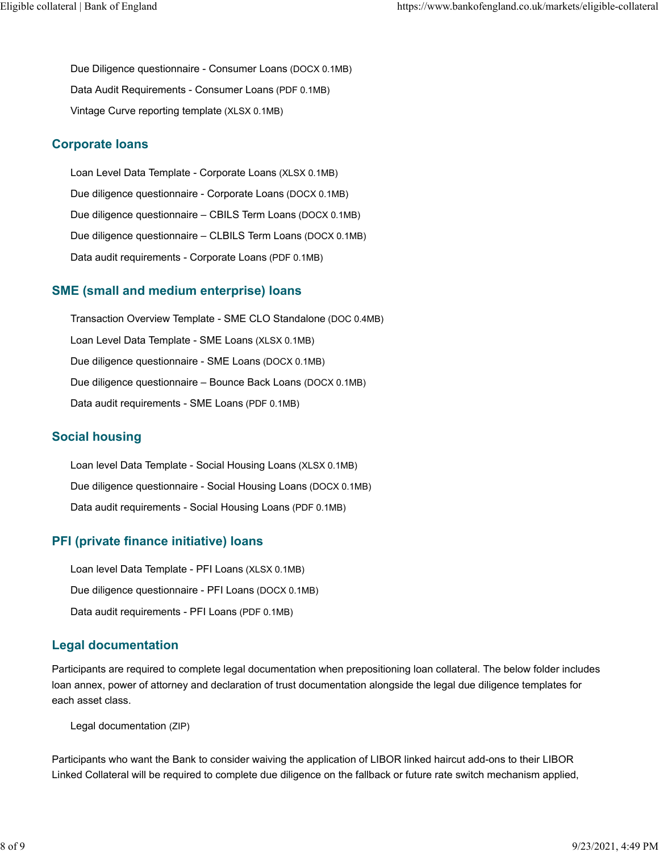[Due Diligence questionnaire - Consumer Loans \(DOCX 0.1MB\)](https://www.bankofengland.co.uk/-/media/boe/files/markets/eligible-collateral/consumer-loans/due-diligence-questionnaire-auto-loans-and-consumer-loans.docx) [Data Audit Requirements - Consumer Loans \(PDF 0.1MB\)](https://www.bankofengland.co.uk/-/media/boe/files/markets/eligible-collateral/consumer-loans/data-audit-requirements-consumer-loans.pdf) [Vintage Curve reporting template \(XLSX 0.1MB\)](https://www.bankofengland.co.uk/-/media/boe/files/markets/eligible-collateral/vintage-curve-reporting-template.xlsx)

#### **Corporate loans**

[Loan Level Data Template - Corporate Loans \(XLSX 0.1MB\)](https://www.bankofengland.co.uk/-/media/boe/files/markets/eligible-collateral/corporate-loans/loan-level-data-template-corporate-loans.xlsx) [Due diligence questionnaire - Corporate Loans \(DOCX 0.1MB\)](https://www.bankofengland.co.uk/-/media/boe/files/markets/eligible-collateral/corporate-loans/due-diligence-questionnaire-corporate-loans.docx) [Due diligence questionnaire – CBILS Term Loans \(DOCX 0.1MB\)](https://www.bankofengland.co.uk/-/media/boe/files/markets/eligible-collateral/corporate-loans/cbils-term-loan-ddq.docx) [Due diligence questionnaire – CLBILS Term Loans \(DOCX 0.1MB\)](https://www.bankofengland.co.uk/-/media/boe/files/markets/eligible-collateral/corporate-loans/clbils-term-loan-ddq.docx) [Data audit requirements - Corporate Loans \(PDF 0.1MB\)](https://www.bankofengland.co.uk/-/media/boe/files/markets/eligible-collateral/corporate-loans/data-audit-requirements-corporate-loans.pdf)

#### **SME (small and medium enterprise) loans**

[Transaction Overview Template - SME CLO Standalone \(DOC 0.4MB\)](https://www.bankofengland.co.uk/-/media/boe/files/markets/eligible-collateral/transaction-overview-template-sme-clo-standalone.doc) [Loan Level Data Template - SME Loans \(XLSX 0.1MB\)](https://www.bankofengland.co.uk/-/media/boe/files/markets/eligible-collateral/sme-loans/loan-level-data-template-sme-loans.xlsx) [Due diligence questionnaire - SME Loans \(DOCX 0.1MB\)](https://www.bankofengland.co.uk/-/media/boe/files/markets/eligible-collateral/sme-loans/due-diligence-questionnaire-sme-loans.docx) [Due diligence questionnaire – Bounce Back Loans \(DOCX 0.1MB\)](https://www.bankofengland.co.uk/-/media/boe/files/markets/eligible-collateral/sme-loans/bbls-ddq.docx) [Data audit requirements - SME Loans \(PDF 0.1MB\)](https://www.bankofengland.co.uk/-/media/boe/files/markets/eligible-collateral/sme-loans/data-audit-requirements-sme-loans.pdf)

### **Social housing**

[Loan level Data Template - Social Housing Loans \(XLSX 0.1MB\)](https://www.bankofengland.co.uk/-/media/boe/files/markets/eligible-collateral/social-housing/loan-level-data-template-social-housing-loans.xlsx) [Due diligence questionnaire - Social Housing Loans \(DOCX 0.1MB\)](https://www.bankofengland.co.uk/-/media/boe/files/markets/eligible-collateral/social-housing/due-diligence-questionnaire-social-housing-loans.docx) [Data audit requirements - Social Housing Loans \(PDF 0.1MB\)](https://www.bankofengland.co.uk/-/media/boe/files/markets/eligible-collateral/social-housing/data-audit-requirements-social-housing-loans.pdf)

### **PFI (private finance initiative) loans**

[Loan level Data Template - PFI Loans \(XLSX 0.1MB\)](https://www.bankofengland.co.uk/-/media/boe/files/markets/eligible-collateral/pfi-loans/loan-level-data-template-pfi-loans.xlsx) [Due diligence questionnaire - PFI Loans \(DOCX 0.1MB\)](https://www.bankofengland.co.uk/-/media/boe/files/markets/eligible-collateral/pfi-loans/due-diligence-questionnaire-pfi-loans.docx) [Data audit requirements - PFI Loans \(PDF 0.1MB\)](https://www.bankofengland.co.uk/-/media/boe/files/markets/eligible-collateral/pfi-loans/data-audit-requirements-pfi-loans.pdf)

#### **Legal documentation**

Participants are required to complete legal documentation when prepositioning loan collateral. The below folder includes loan annex, power of attorney and declaration of trust documentation alongside the legal due diligence templates for each asset class.

[Legal documentation \(ZIP\)](https://www.bankofengland.co.uk/-/media/boe/files/markets/eligible-collateral/legal-documentation.zip?la=en&hash=DC4D1A8644DEEF937068C03742D44A4221CEBB9B)

Participants who want the Bank to consider waiving the application of LIBOR linked haircut add-ons to their LIBOR Linked Collateral will be required to complete due diligence on the fallback or future rate switch mechanism applied,